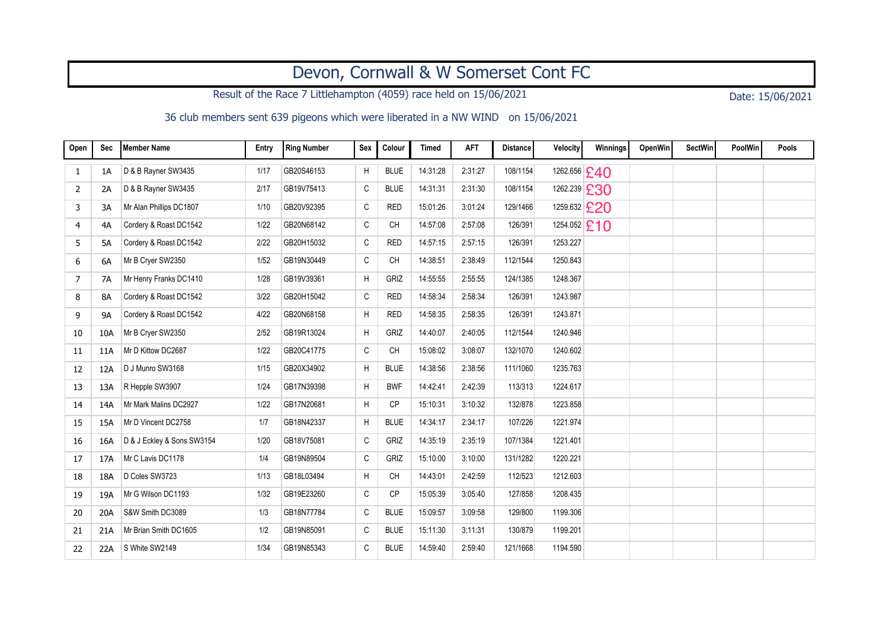## Devon, Cornwall & W Somerset Cont FC

Result of the Race 7 Littlehampton (4059) race held on 15/06/2021 Date: 15/06/2021

36 club members sent 639 pigeons which were liberated in a NW WIND on 15/06/2021

| Open | Sec       | Member Name                | Entry | <b>Ring Number</b> | Sex          | Colour      | <b>Timed</b> | <b>AFT</b> | <b>Distance</b> | Velocity     | Winnings | OpenWin | <b>SectWin</b> | PoolWin | Pools |
|------|-----------|----------------------------|-------|--------------------|--------------|-------------|--------------|------------|-----------------|--------------|----------|---------|----------------|---------|-------|
| 1    | 1A        | D & B Rayner SW3435        | 1/17  | GB20S46153         | H            | <b>BLUE</b> | 14:31:28     | 2:31:27    | 108/1154        | 1262.656 £40 |          |         |                |         |       |
| 2    | 2A        | D & B Rayner SW3435        | 2/17  | GB19V75413         | $\mathtt{C}$ | <b>BLUE</b> | 14:31:31     | 2:31:30    | 108/1154        | 1262.239 £30 |          |         |                |         |       |
| 3    | 3A        | Mr Alan Phillips DC1807    | 1/10  | GB20V92395         | C            | <b>RED</b>  | 15:01:26     | 3:01:24    | 129/1466        | 1259.632 £20 |          |         |                |         |       |
| 4    | 4A        | Cordery & Roast DC1542     | 1/22  | GB20N68142         | C            | <b>CH</b>   | 14:57:08     | 2:57:08    | 126/391         | 1254.052 £10 |          |         |                |         |       |
| 5    | 5A        | Cordery & Roast DC1542     | 2/22  | GB20H15032         | C            | <b>RED</b>  | 14:57:15     | 2:57:15    | 126/391         | 1253.227     |          |         |                |         |       |
| 6    | 6A        | Mr B Cryer SW2350          | 1/52  | GB19N30449         | С            | <b>CH</b>   | 14:38:51     | 2:38:49    | 112/1544        | 1250.843     |          |         |                |         |       |
| 7    | <b>7A</b> | Mr Henry Franks DC1410     | 1/28  | GB19V39361         | H            | GRIZ        | 14:55:55     | 2:55:55    | 124/1385        | 1248.367     |          |         |                |         |       |
| 8    | 8A        | Cordery & Roast DC1542     | 3/22  | GB20H15042         | $\mathtt{C}$ | <b>RED</b>  | 14:58:34     | 2:58:34    | 126/391         | 1243.987     |          |         |                |         |       |
| 9    | <b>9A</b> | Cordery & Roast DC1542     | 4/22  | GB20N68158         | Η            | <b>RED</b>  | 14:58:35     | 2:58:35    | 126/391         | 1243.871     |          |         |                |         |       |
| 10   | 10A       | Mr B Cryer SW2350          | 2/52  | GB19R13024         | H            | GRIZ        | 14:40:07     | 2:40:05    | 112/1544        | 1240.946     |          |         |                |         |       |
| 11   | 11A       | Mr D Kittow DC2687         | 1/22  | GB20C41775         | C            | <b>CH</b>   | 15:08:02     | 3:08:07    | 132/1070        | 1240.602     |          |         |                |         |       |
| 12   | 12A       | D J Munro SW3168           | 1/15  | GB20X34902         | H            | <b>BLUE</b> | 14:38:56     | 2:38:56    | 111/1060        | 1235.763     |          |         |                |         |       |
| 13   | 13A       | R Hepple SW3907            | 1/24  | GB17N39398         | Н            | <b>BWF</b>  | 14:42:41     | 2:42:39    | 113/313         | 1224.617     |          |         |                |         |       |
| 14   | 14A       | Mr Mark Malins DC2927      | 1/22  | GB17N20681         | Н            | <b>CP</b>   | 15:10:31     | 3:10:32    | 132/878         | 1223.858     |          |         |                |         |       |
| 15   | 15A       | Mr D Vincent DC2758        | 1/7   | GB18N42337         | Н            | <b>BLUE</b> | 14:34:17     | 2:34:17    | 107/226         | 1221.974     |          |         |                |         |       |
| 16   | 16A       | D & J Eckley & Sons SW3154 | 1/20  | GB18V75081         | C            | GRIZ        | 14:35:19     | 2:35:19    | 107/1384        | 1221.401     |          |         |                |         |       |
| 17   | 17A       | Mr C Lavis DC1178          | 1/4   | GB19N89504         | C            | GRIZ        | 15:10:00     | 3:10:00    | 131/1282        | 1220.221     |          |         |                |         |       |
| 18   | 18A       | D Coles SW3723             | 1/13  | GB18L03494         | Η            | <b>CH</b>   | 14:43:01     | 2:42:59    | 112/523         | 1212.603     |          |         |                |         |       |
| 19   | 19A       | Mr G Wilson DC1193         | 1/32  | GB19E23260         | C            | CP          | 15:05:39     | 3:05:40    | 127/858         | 1208.435     |          |         |                |         |       |
| 20   | 20A       | S&W Smith DC3089           | 1/3   | GB18N77784         | $\mathtt{C}$ | <b>BLUE</b> | 15:09:57     | 3:09:58    | 129/800         | 1199.306     |          |         |                |         |       |
| 21   | 21A       | Mr Brian Smith DC1605      | 1/2   | GB19N85091         | C            | <b>BLUE</b> | 15:11:30     | 3:11:31    | 130/879         | 1199.201     |          |         |                |         |       |
| 22   | 22A       | S White SW2149             | 1/34  | GB19N85343         | C            | <b>BLUE</b> | 14:59:40     | 2:59:40    | 121/1668        | 1194.590     |          |         |                |         |       |